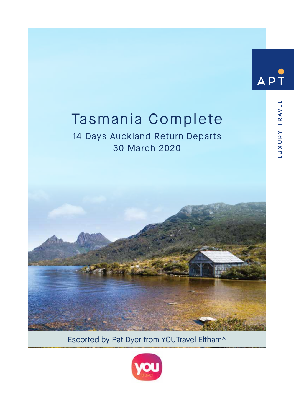# AP<sup>-</sup>

LUXURY TRAVEL

## Tasmania Complete

## 14 Days Auckland Return Departs 30 March 2020



Escorted by Pat Dyer from YOUTravel Eltham^

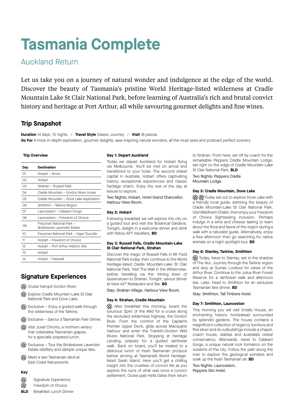# **Tasmania Complete**

## Auckland Return

Let us take you on a journey of natural wonder and indulgence at the edge of the world. Discover the beauty of Tasmania's pristine World Heritage-listed wilderness at Cradle Mountain Lake St Clair National Park, before learning of Australia's rich and brutal convict history and heritage at Port Arthur, all while savouring gourmet delights and fine wines.

### **Trip Snapshot**

**Duration** 14 days, 13 nights / **Travel Style** Classic Journey / **Visit** 18 places **Go For** A more in-depth exploration, gourmet delights, awe-inspiring natural wonders, all the must sees and postcard perfect scenery

#### **Trip Overview**

| Day            | Destination                                             |
|----------------|---------------------------------------------------------|
| O <sub>1</sub> | Hobart - Arrive                                         |
| 02             | Hobart                                                  |
| OЗ             | Strahan - Russell Falls                                 |
| O <sub>4</sub> | Cradle Mountain - Gordon River cruise                   |
| 05             | Cradle Mountain - Dove Lake exploration                 |
| 06             | Smithton - Tarkine Region                               |
| O7             | Launceston - Cataract Gorge                             |
| 08             | Launceston - Freedom of Choice                          |
| 09             | Freycinet National Park -<br>Bridestowe Lavender Estate |
| 10             | Freycinet National Park - Cape Tourville                |
| 11             | Hobart - Freedom of Choice                              |
| 12             | Hobart - Port Arthur Historic Site                      |
| 13             | Hobart                                                  |
| 14             | Hobart - Farewell                                       |

### **Signature Experiences**

- cx Cruise tranquil Gordon River.
- Explore Cradle Mountain-Lake St Clair National Park and Dove Lake.
- $\circled{x}$  Exclusive Enjoy a guided walk through the wilderness of the Tarkine.
- (x) Exclusive Savour a Tasmanian Fare Dinner.
- Visit Josef Chromy, a northern winery that celebrates Tasmanian grapes, for a specially prepared lunch.
- $\circ$  Exclusive Tour the Bridestowe Lavender Estate distillery and sample unique fare.
- **(x)** Meet a rare Tasmanian devil at East Coast Natureworld.

#### **Key**

- ଇ Signature Experience
- $\circled{f}$ Freedom of Choice
- **BLD** Breakfast Lunch Dinner

#### **Day 1: Depart Auckland**

Today we depart Auckland for Hobart flying via Melbourne. You'll be met on arrival and transferred to your hotel. The second oldest capital in Australia, Hobart offers captivating history, exceptional experiences and classic heritage charm. Enjoy the rest of the day at leisure to explore.

Two Nights: Hobart, Hotel Grand Chancellor, Harbour View Room.

#### **Day 2: Hobart**

Following breakfast we will explore the city on a guided tour and visit the Botanical Gardens. Tonight, delight in a welcome dinner and drink with fellow APT travellers. **BD**

#### **Day 3: Russell Falls, Cradle Mountain-Lake St Clair National Park, Strahan**

Discover the magic of Russell Falls in Mt Field National Park today, then continue to the World Heritage-listed Cradle Mountain-Lake St Clair National Park. Visit The Wall in the Wilderness, before travelling via the mining town of Queenstown to Strahan. Tonight, savour dinner at View 42° Restaurant and Bar. **BD**

Stay: Strahan Village, Harbour View Room.

#### **Day 4: Strahan, Cradle Mountain**

 $\circled{x}$  After breakfast this morning, board the luxurious Spirit of the Wild for a cruise along the secluded wilderness highway, the Gordon River. From the comfort of the Captain's Premier Upper Deck, glide across Macquarie Harbour and enter the Franklin-Gordon Wild Rivers National Park. Stopping at Heritage Landing, prepare for a guided rainforest walk. Back on board, you'll be treated to a delicious lunch of fresh Tasmanian produce before arriving at Tasmania's World Heritagelisted Sarah Island. Here you'll get a chilling insight into the cruelties of convict life as you explore the ruins of what was once a convict settlement. Cruise past Hells Gates then return

to Strahan. From here, set off by coach for the remarkable Peppers Cradle Mountain Lodge, set right on the edge of Cradle Mountain-Lake St Clair National Park. **BLD**

Two Nights: Peppers Cradle Mountain Lodge.

#### **Day 5: Cradle Mountain, Dove Lake**

 $\circ$   $\circ$   $\circ$  Today set out to explore Dove Lake with a friendly local guide, admiring the beauty of Cradle Mountain-Lake St Clair National Park. Visit Waldheim Chalet, then enjoy your Freedom of Choice Sightseeing inclusion. Perhaps indulge in a wine and cheese tasting or learn about the flora and fauna of the region during a walk with a naturalist guide. Alternatively, enjoy a free afternoon then go searching for native animals on a night spotlight tour. **BD**

#### **Day 6: Stanley, Tarkine, Smithton**

 $\circ$  Today, travel to Stanley, set in the shadow of The Nut. Journey through the Tarkine region and stop at Sumac Lookout for views of the Arthur River. Continue to the Julius River Forest Reserve for a rainforest walk and afternoon tea. Later, head to Smithton for an exclusive Tasmanian fare dinner. **BD**

Stay: Smithton, Tall Timbers Hotel.

#### **Day 7: Smithton, Launceston**

This morning you will visit Entally House, an enchanting historic homestead surrounded by splendid gardens. The house contains a magnificent collection of regency furniture and fine silver and its outbuildings include a chapel, coach house, stables and Australia's oldest conservatory. Afterwards, travel to Cataract Gorge, a unique natural rock formation on the outskirts of the city. Follow the path along the river to explore the geological wonders and soak up the fresh Tasmanian air. **BD**

Two Nights: Launceston, Peppers Silo Hotel.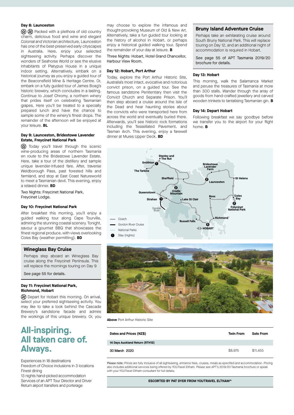#### **Day 8: Launceston**

 $\circ$   $\circ$   $\circ$  Packed with a plethora of old country charm, delicious food and wine and elegant Colonial and Victorian architecture, Launceston has one of the best-preserved early cityscapes in Australia. Here, enjoy your selected sightseeing activity. Perhaps discover the wonders of Seahorse World or see the elusive inhabitants of Platypus House in a unique indoor setting. Alternatively, embark on a historical journey as you enjoy a guided tour of the Beaconsfield Mine & Heritage Centre. Or, embark on a fully guided tour of James Boag's historic brewery, which concludes in a tasting. Continue to Josef Chromy, a northern winery that prides itself on celebrating Tasmanian grapes. Here you'll be treated to a specially prepared lunch and have the chance to sample some of the winery's finest drops. The remainder of the afternoon will be enjoyed at your leisure. **BL**

#### **Day 9: Launceston, Bridestowe Lavender Estate, Freycinet National Park**

(x) Today you'll travel through the scenic wine-producing areas of northern Tasmania en route to the Bridestowe Lavender Estate. Here, take a tour of the distillery and sample unique lavender-infused fare. After, traverse Weldborough Pass, past forested hills and farmland, and stop at East Coast Natureworld to meet a Tasmanian devil. This evening, enjoy a relaxed dinner. **BD**

Two Nights: Freycinet National Park, Freycinet Lodge.

#### **Day 10: Freycinet National Park**

After breakfast this morning, you'll enjoy a guided walking tour along Cape Tourville, admiring the stunning coastal scenery. Tonight, savour a gourmet BBQ that showcases the finest regional produce, with views overlooking Coles Bay (weather permitting). **BD**

#### **Wineglass Bay Cruise**

Perhaps step aboard an Wineglass Bay cruise along the Freycinet Peninsula. This will replace the mornings touring on Day 9

See page 55 for details.

#### **Day 11: Freycinet National Park, Richmond, Hobart**

 Depart for Hobart this morning. On arrival, select your preferred sightseeing activity. You may like to take a look behind the Cascade Brewery's sandstone facade and admire the workings of this unique brewery. Or, you

## **All-inspiring. All taken care of. Always.**

Experiences in 18 destinations Freedom of Choice inclusions in 3 locations Finest dining

13 nights hand-picked accommodation Services of an APT Tour Director and Driver Return airport transfers and porterage

may choose to explore the infamous and thought-provoking Museum of Old & New Art. Alternatively, take a fun guided tour looking at the history of alcohol in Hobart, or perhaps enjoy a historical guided walking tour. Spend the remainder of your day at leisure. **B**

Three Nights: Hobart, Hotel Grand Chancellor, Harbour View Room.

#### **Day 12: Hobart, Port Arthur**

Today, explore the Port Arthur Historic Site, Australia's most intact, evocative and notorious convict prison, on a guided tour. See the famous sandstone Penitentiary then visit the Convict Church and Separate Prison. You'll then step aboard a cruise around the Isle of the Dead and hear haunting stories about the convicts who were transported here from across the world and eventually buried there. Afterwards, you'll see historic rock formations including the Tessellated Pavement, and Tasman Arch. This evening, enjoy a farewell dinner at Mures Upper Deck. **BD**

#### **Bruny Island Adventure Cruise**

Perhaps take an exhilarating cruise around South Bruny National Park. This will replace touring on Day 12, and an additional night of accommodation is required in Hobart.

See page 55 of APT Tasmania 2019/20 brochure for details.

#### **Day 13: Hobart**

This morning, walk the Salamanca Market and peruse the treasures of Tasmania at more than 300 stalls. Wander through the array of goods from hand-crafted jewellery and carved wooden trinkets to tantalising Tasmanian gin. **B**

#### **Day 14: Depart Hobart**

Following breakfast we say goodbye before we transfer you to the airport for your flight home. **B**





**Above** Port Arthur Historic Site

| Dates and Prices (NZ\$)         | <b>Twin From</b> | Solo From |
|---------------------------------|------------------|-----------|
| 14 Days Auckland Return (RTH12) |                  |           |
| 30 March 2020                   | \$8,975          | \$11,455  |

Please note: Prices are fully inclusive of all sightseeing, entrance fees, cruises, meals as specified and accommodation. Pricing also includes additional services being offered by YOUTravel Eltham. Please see APT's 2019/20 Tasmania brochure or speak with your YOUTravel Eltham consultant for full details.

**ESCORTED BY PAT DYER FROM YOUTRAVEL ELTHAM^**